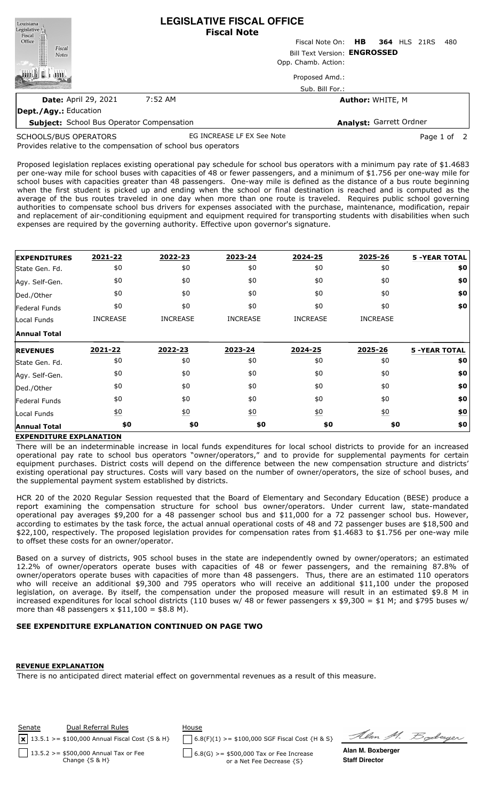| Louisiana<br>Legislative <sup>1</sup>            | <b>LEGISLATIVE FISCAL OFFICE</b><br><b>Fiscal Note</b> |                                 |                         |  |     |  |  |
|--------------------------------------------------|--------------------------------------------------------|---------------------------------|-------------------------|--|-----|--|--|
| Fiscal<br>Office                                 |                                                        | Fiscal Note On: HB 364 HLS 21RS |                         |  | 480 |  |  |
| Fiscal<br><b>Notes</b>                           | Bill Text Version: ENGROSSED                           |                                 |                         |  |     |  |  |
|                                                  | Opp. Chamb. Action:                                    |                                 |                         |  |     |  |  |
|                                                  |                                                        | Proposed Amd.:                  |                         |  |     |  |  |
|                                                  |                                                        | Sub. Bill For.:                 |                         |  |     |  |  |
| <b>Date: April 29, 2021</b>                      | 7:52 AM                                                |                                 | <b>Author: WHITE, M</b> |  |     |  |  |
| Dept./Agy.: Education                            |                                                        |                                 |                         |  |     |  |  |
| <b>Subject:</b> School Bus Operator Compensation |                                                        | Analyst: Garrett Ordner         |                         |  |     |  |  |

SCHOOLS/BUS OPERATORS

EG INCREASE LF EX See Note **Page 1 of 2** 

Provides relative to the compensation of school bus operators

Proposed legislation replaces existing operational pay schedule for school bus operators with a minimum pay rate of \$1.4683 per one-way mile for school buses with capacities of 48 or fewer passengers, and a minimum of \$1.756 per one-way mile for school buses with capacities greater than 48 passengers. One-way mile is defined as the distance of a bus route beginning when the first student is picked up and ending when the school or final destination is reached and is computed as the average of the bus routes traveled in one day when more than one route is traveled. Requires public school governing authorities to compensate school bus drivers for expenses associated with the purchase, maintenance, modification, repair and replacement of air-conditioning equipment and equipment required for transporting students with disabilities when such expenses are required by the governing authority. Effective upon governor's signature.

| <b>EXPENDITURES</b> | 2021-22          | 2022-23          | 2023-24          | 2024-25          | 2025-26          | <b>5 -YEAR TOTAL</b> |
|---------------------|------------------|------------------|------------------|------------------|------------------|----------------------|
| State Gen. Fd.      | \$0              | \$0              | \$0              | \$0              | \$0              | \$0                  |
| Agy. Self-Gen.      | \$0              | \$0              | \$0              | \$0              | \$0              | \$0                  |
| Ded./Other          | \$0              | \$0              | \$0              | \$0              | \$0              | \$0                  |
| Federal Funds       | \$0              | \$0              | \$0              | \$0              | \$0              | \$0                  |
| Local Funds         | <b>INCREASE</b>  | <b>INCREASE</b>  | <b>INCREASE</b>  | <b>INCREASE</b>  | <b>INCREASE</b>  |                      |
| <b>Annual Total</b> |                  |                  |                  |                  |                  |                      |
|                     |                  |                  |                  |                  |                  |                      |
| <b>REVENUES</b>     | 2021-22          | 2022-23          | 2023-24          | 2024-25          | 2025-26          | <b>5 -YEAR TOTAL</b> |
| State Gen. Fd.      | \$0              | \$0              | \$0              | \$0              | \$0              | \$0                  |
| Agy. Self-Gen.      | \$0              | \$0              | \$0              | \$0              | \$0              | \$0                  |
| Ded./Other          | \$0              | \$0              | \$0              | \$0              | \$0              | \$0                  |
| Federal Funds       | \$0              | \$0              | \$0              | \$0              | \$0              | \$0                  |
| Local Funds         | $\underline{50}$ | $\underline{50}$ | $\underline{50}$ | $\underline{50}$ | $\underline{50}$ | <u>\$0</u>           |

## **EXPENDITURE EXPLANATION**

There will be an indeterminable increase in local funds expenditures for local school districts to provide for an increased operational pay rate to school bus operators "owner/operators," and to provide for supplemental payments for certain equipment purchases. District costs will depend on the difference between the new compensation structure and districts' existing operational pay structures. Costs will vary based on the number of owner/operators, the size of school buses, and the supplemental payment system established by districts.

HCR 20 of the 2020 Regular Session requested that the Board of Elementary and Secondary Education (BESE) produce a report examining the compensation structure for school bus owner/operators. Under current law, state-mandated operational pay averages \$9,200 for a 48 passenger school bus and \$11,000 for a 72 passenger school bus. However, according to estimates by the task force, the actual annual operational costs of 48 and 72 passenger buses are \$18,500 and \$22,100, respectively. The proposed legislation provides for compensation rates from \$1.4683 to \$1.756 per one-way mile to offset these costs for an owner/operator.

Based on a survey of districts, 905 school buses in the state are independently owned by owner/operators; an estimated 12.2% of owner/operators operate buses with capacities of 48 or fewer passengers, and the remaining 87.8% of owner/operators operate buses with capacities of more than 48 passengers. Thus, there are an estimated 110 operators who will receive an additional \$9,300 and 795 operators who will receive an additional \$11,100 under the proposed legislation, on average. By itself, the compensation under the proposed measure will result in an estimated \$9.8 M in increased expenditures for local school districts (110 buses w/ 48 or fewer passengers x \$9,300 = \$1 M; and \$795 buses w/ more than 48 passengers  $x$  \$11,100 = \$8.8 M).

## **SEE EXPENDITURE EXPLANATION CONTINUED ON PAGE TWO**

## **REVENUE EXPLANATION**

There is no anticipated direct material effect on governmental revenues as a result of this measure.